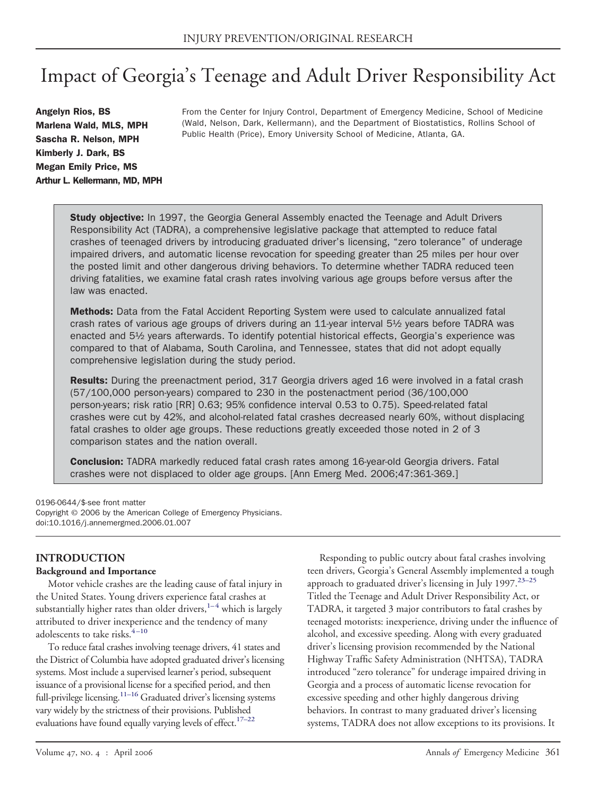# Impact of Georgia's Teenage and Adult Driver Responsibility Act

Angelyn Rios, BS Marlena Wald, MLS, MPH Sascha R. Nelson, MPH Kimberly J. Dark, BS Megan Emily Price, MS Arthur L. Kellermann, MD, MPH From the Center for Injury Control, Department of Emergency Medicine, School of Medicine (Wald, Nelson, Dark, Kellermann), and the Department of Biostatistics, Rollins School of Public Health (Price), Emory University School of Medicine, Atlanta, GA.

Study objective: In 1997, the Georgia General Assembly enacted the Teenage and Adult Drivers Responsibility Act (TADRA), a comprehensive legislative package that attempted to reduce fatal crashes of teenaged drivers by introducing graduated driver's licensing, "zero tolerance" of underage impaired drivers, and automatic license revocation for speeding greater than 25 miles per hour over the posted limit and other dangerous driving behaviors. To determine whether TADRA reduced teen driving fatalities, we examine fatal crash rates involving various age groups before versus after the law was enacted.

Methods: Data from the Fatal Accident Reporting System were used to calculate annualized fatal crash rates of various age groups of drivers during an 11-year interval 5½ years before TADRA was enacted and 5½ years afterwards. To identify potential historical effects, Georgia's experience was compared to that of Alabama, South Carolina, and Tennessee, states that did not adopt equally comprehensive legislation during the study period.

Results: During the preenactment period, 317 Georgia drivers aged 16 were involved in a fatal crash (57/100,000 person-years) compared to 230 in the postenactment period (36/100,000 person-years; risk ratio [RR] 0.63; 95% confidence interval 0.53 to 0.75). Speed-related fatal crashes were cut by 42%, and alcohol-related fatal crashes decreased nearly 60%, without displacing fatal crashes to older age groups. These reductions greatly exceeded those noted in 2 of 3 comparison states and the nation overall.

**Conclusion:** TADRA markedly reduced fatal crash rates among 16-year-old Georgia drivers. Fatal crashes were not displaced to older age groups. [Ann Emerg Med. 2006;47:361-369.]

0196-0644/\$-see front matter Copyright © 2006 by the American College of Emergency Physicians. doi:10.1016/j.annemergmed.2006.01.007

# **INTRODUCTION**

### **Background and Importance**

Motor vehicle crashes are the leading cause of fatal injury in the United States. Young drivers experience fatal crashes at substantially higher rates than older drivers, $1-4$  which is largely attributed to driver inexperience and the tendency of many adolescents to take risks. $4-10$ 

To reduce fatal crashes involving teenage drivers, 41 states and the District of Columbia have adopted graduated driver's licensing systems. Most include a supervised learner's period, subsequent issuance of a provisional license for a specified period, and then full-privilege licensing.<sup>11–16</sup> Graduated driver's licensing systems vary widely by the strictness of their provisions. Published evaluations have found equally varying levels of effect[.17–22](#page-8-0)

Responding to public outcry about fatal crashes involving teen drivers, Georgia's General Assembly implemented a tough approach to graduated driver's licensing in July 1997.<sup>23-25</sup> Titled the Teenage and Adult Driver Responsibility Act, or TADRA, it targeted 3 major contributors to fatal crashes by teenaged motorists: inexperience, driving under the influence of alcohol, and excessive speeding. Along with every graduated driver's licensing provision recommended by the National Highway Traffic Safety Administration (NHTSA), TADRA introduced "zero tolerance" for underage impaired driving in Georgia and a process of automatic license revocation for excessive speeding and other highly dangerous driving behaviors. In contrast to many graduated driver's licensing systems, TADRA does not allow exceptions to its provisions. It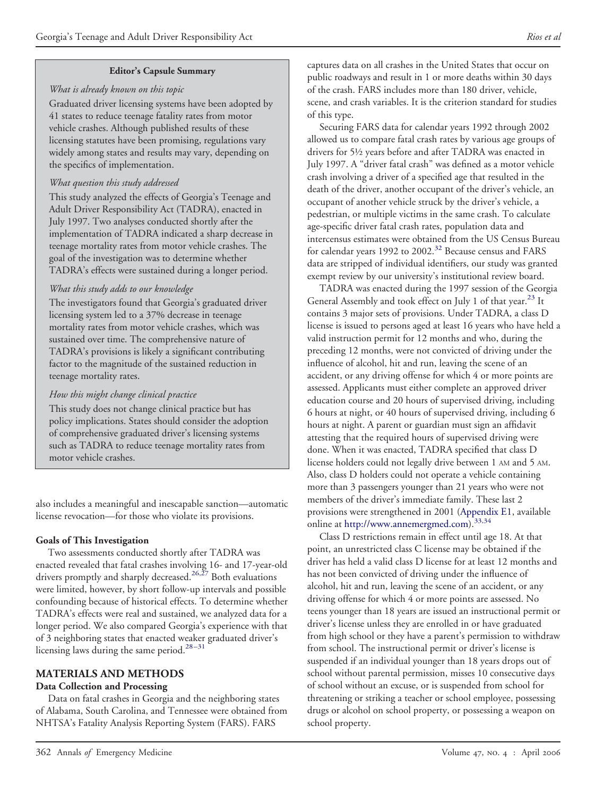### *What is already known on this topic*

Graduated driver licensing systems have been adopted by 41 states to reduce teenage fatality rates from motor vehicle crashes. Although published results of these licensing statutes have been promising, regulations vary widely among states and results may vary, depending on the specifics of implementation.

# *What question this study addressed*

This study analyzed the effects of Georgia's Teenage and Adult Driver Responsibility Act (TADRA), enacted in July 1997. Two analyses conducted shortly after the implementation of TADRA indicated a sharp decrease in teenage mortality rates from motor vehicle crashes. The goal of the investigation was to determine whether TADRA's effects were sustained during a longer period.

# *What this study adds to our knowledge*

The investigators found that Georgia's graduated driver licensing system led to a 37% decrease in teenage mortality rates from motor vehicle crashes, which was sustained over time. The comprehensive nature of TADRA's provisions is likely a significant contributing factor to the magnitude of the sustained reduction in teenage mortality rates.

# *How this might change clinical practice*

This study does not change clinical practice but has policy implications. States should consider the adoption of comprehensive graduated driver's licensing systems such as TADRA to reduce teenage mortality rates from motor vehicle crashes.

also includes a meaningful and inescapable sanction—automatic license revocation—for those who violate its provisions.

### **Goals of This Investigation**

Two assessments conducted shortly after TADRA was enacted revealed that fatal crashes involving 16- and 17-year-old drivers promptly and sharply decreased.<sup>26,27</sup> Both evaluations were limited, however, by short follow-up intervals and possible confounding because of historical effects. To determine whether TADRA's effects were real and sustained, we analyzed data for a longer period. We also compared Georgia's experience with that of 3 neighboring states that enacted weaker graduated driver's licensing laws during the same period.<sup>28-31</sup>

# **MATERIALS AND METHODS Data Collection and Processing**

Data on fatal crashes in Georgia and the neighboring states of Alabama, South Carolina, and Tennessee were obtained from NHTSA's Fatality Analysis Reporting System (FARS). FARS

captures data on all crashes in the United States that occur on public roadways and result in 1 or more deaths within 30 days of the crash. FARS includes more than 180 driver, vehicle, scene, and crash variables. It is the criterion standard for studies of this type.

Securing FARS data for calendar years 1992 through 2002 allowed us to compare fatal crash rates by various age groups of drivers for 5½ years before and after TADRA was enacted in July 1997. A "driver fatal crash" was defined as a motor vehicle crash involving a driver of a specified age that resulted in the death of the driver, another occupant of the driver's vehicle, an occupant of another vehicle struck by the driver's vehicle, a pedestrian, or multiple victims in the same crash. To calculate age-specific driver fatal crash rates, population data and intercensus estimates were obtained from the US Census Bureau for calendar years 1992 to 2002.<sup>32</sup> Because census and FARS data are stripped of individual identifiers, our study was granted exempt review by our university's institutional review board.

TADRA was enacted during the 1997 session of the Georgia General Assembly and took effect on July 1 of that year.<sup>[23](#page-8-0)</sup> It contains 3 major sets of provisions. Under TADRA, a class D license is issued to persons aged at least 16 years who have held a valid instruction permit for 12 months and who, during the preceding 12 months, were not convicted of driving under the influence of alcohol, hit and run, leaving the scene of an accident, or any driving offense for which 4 or more points are assessed. Applicants must either complete an approved driver education course and 20 hours of supervised driving, including 6 hours at night, or 40 hours of supervised driving, including 6 hours at night. A parent or guardian must sign an affidavit attesting that the required hours of supervised driving were done. When it was enacted, TADRA specified that class D license holders could not legally drive between 1 AM and 5 AM. Also, class D holders could not operate a vehicle containing more than 3 passengers younger than 21 years who were not members of the driver's immediate family. These last 2 provisions were strengthened in 2001 [\(Appendix](#page-12-0) E1, available online at [http://www.annemergmed.com\)](http://www.annemergmed.com).<sup>33,34</sup>

Class D restrictions remain in effect until age 18. At that point, an unrestricted class C license may be obtained if the driver has held a valid class D license for at least 12 months and has not been convicted of driving under the influence of alcohol, hit and run, leaving the scene of an accident, or any driving offense for which 4 or more points are assessed. No teens younger than 18 years are issued an instructional permit or driver's license unless they are enrolled in or have graduated from high school or they have a parent's permission to withdraw from school. The instructional permit or driver's license is suspended if an individual younger than 18 years drops out of school without parental permission, misses 10 consecutive days of school without an excuse, or is suspended from school for threatening or striking a teacher or school employee, possessing drugs or alcohol on school property, or possessing a weapon on school property.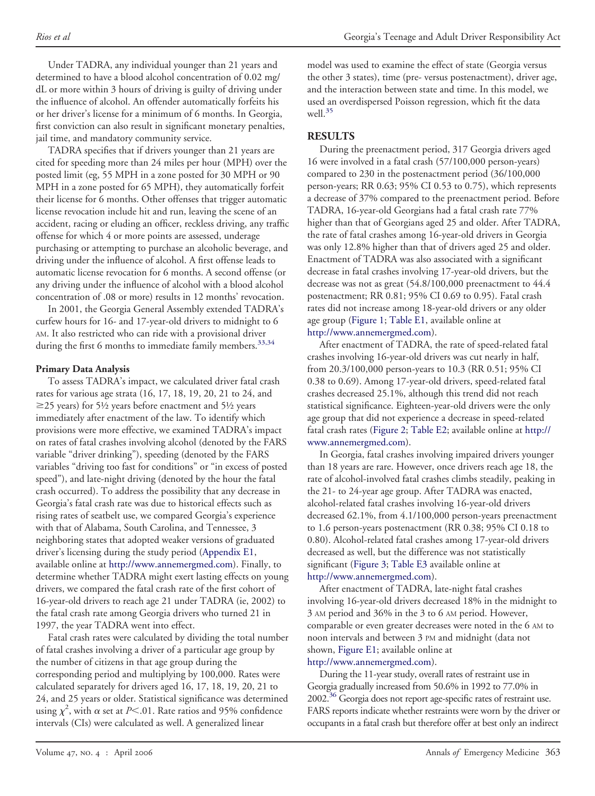Under TADRA, any individual younger than 21 years and determined to have a blood alcohol concentration of 0.02 mg/ dL or more within 3 hours of driving is guilty of driving under the influence of alcohol. An offender automatically forfeits his or her driver's license for a minimum of 6 months. In Georgia, first conviction can also result in significant monetary penalties, jail time, and mandatory community service.

TADRA specifies that if drivers younger than 21 years are cited for speeding more than 24 miles per hour (MPH) over the posted limit (eg, 55 MPH in a zone posted for 30 MPH or 90 MPH in a zone posted for 65 MPH), they automatically forfeit their license for 6 months. Other offenses that trigger automatic license revocation include hit and run, leaving the scene of an accident, racing or eluding an officer, reckless driving, any traffic offense for which 4 or more points are assessed, underage purchasing or attempting to purchase an alcoholic beverage, and driving under the influence of alcohol. A first offense leads to automatic license revocation for 6 months. A second offense (or any driving under the influence of alcohol with a blood alcohol concentration of .08 or more) results in 12 months' revocation.

In 2001, the Georgia General Assembly extended TADRA's curfew hours for 16- and 17-year-old drivers to midnight to 6 AM. It also restricted who can ride with a provisional driver during the first 6 months to immediate family members.<sup>[33,34](#page-8-0)</sup>

# **Primary Data Analysis**

To assess TADRA's impact, we calculated driver fatal crash rates for various age strata (16, 17, 18, 19, 20, 21 to 24, and  $\geq$ 25 years) for 5½ years before enactment and 5½ years immediately after enactment of the law. To identify which provisions were more effective, we examined TADRA's impact on rates of fatal crashes involving alcohol (denoted by the FARS variable "driver drinking"), speeding (denoted by the FARS variables "driving too fast for conditions" or "in excess of posted speed"), and late-night driving (denoted by the hour the fatal crash occurred). To address the possibility that any decrease in Georgia's fatal crash rate was due to historical effects such as rising rates of seatbelt use, we compared Georgia's experience with that of Alabama, South Carolina, and Tennessee, 3 neighboring states that adopted weaker versions of graduated driver's licensing during the study period [\(Appendix](#page-12-0) E1, available online at [http://www.annemergmed.com\)](http://www.annemergmed.com). Finally, to determine whether TADRA might exert lasting effects on young drivers, we compared the fatal crash rate of the first cohort of 16-year-old drivers to reach age 21 under TADRA (ie, 2002) to the fatal crash rate among Georgia drivers who turned 21 in 1997, the year TADRA went into effect.

Fatal crash rates were calculated by dividing the total number of fatal crashes involving a driver of a particular age group by the number of citizens in that age group during the corresponding period and multiplying by 100,000. Rates were calculated separately for drivers aged 16, 17, 18, 19, 20, 21 to 24, and 25 years or older. Statistical significance was determined using  $\chi^2$ , with  $\alpha$  set at *P*<.01. Rate ratios and 95% confidence intervals (CIs) were calculated as well. A generalized linear

model was used to examine the effect of state (Georgia versus the other 3 states), time (pre- versus postenactment), driver age, and the interaction between state and time. In this model, we used an overdispersed Poisson regression, which fit the data well[.35](#page-8-0)

# **RESULTS**

During the preenactment period, 317 Georgia drivers aged 16 were involved in a fatal crash (57/100,000 person-years) compared to 230 in the postenactment period (36/100,000 person-years; RR 0.63; 95% CI 0.53 to 0.75), which represents a decrease of 37% compared to the preenactment period. Before TADRA, 16-year-old Georgians had a fatal crash rate 77% higher than that of Georgians aged 25 and older. After TADRA, the rate of fatal crashes among 16-year-old drivers in Georgia was only 12.8% higher than that of drivers aged 25 and older. Enactment of TADRA was also associated with a significant decrease in fatal crashes involving 17-year-old drivers, but the decrease was not as great (54.8/100,000 preenactment to 44.4 postenactment; RR 0.81; 95% CI 0.69 to 0.95). Fatal crash rates did not increase among 18-year-old drivers or any older age group [\(Figure](#page-3-0) 1; [Table](#page-9-0) E1, available online at [http://www.annemergmed.com\)](http://www.annemergmed.com).

After enactment of TADRA, the rate of speed-related fatal crashes involving 16-year-old drivers was cut nearly in half, from 20.3/100,000 person-years to 10.3 (RR 0.51; 95% CI 0.38 to 0.69). Among 17-year-old drivers, speed-related fatal crashes decreased 25.1%, although this trend did not reach statistical significance. Eighteen-year-old drivers were the only age group that did not experience a decrease in speed-related fatal crash rates [\(Figure](#page-3-0) 2; [Table](#page-9-0) E2; available online at [http://](http://www.annemergmed.com) [www.annemergmed.com\)](http://www.annemergmed.com).

In Georgia, fatal crashes involving impaired drivers younger than 18 years are rare. However, once drivers reach age 18, the rate of alcohol-involved fatal crashes climbs steadily, peaking in the 21- to 24-year age group. After TADRA was enacted, alcohol-related fatal crashes involving 16-year-old drivers decreased 62.1%, from 4.1/100,000 person-years preenactment to 1.6 person-years postenactment (RR 0.38; 95% CI 0.18 to 0.80). Alcohol-related fatal crashes among 17-year-old drivers decreased as well, but the difference was not statistically significant [\(Figure](#page-4-0) 3; [Table](#page-9-0) E3 available online at [http://www.annemergmed.com\)](http://www.annemergmed.com).

After enactment of TADRA, late-night fatal crashes involving 16-year-old drivers decreased 18% in the midnight to 3 AM period and 36% in the 3 to 6 AM period. However, comparable or even greater decreases were noted in the 6 AM to noon intervals and between 3 PM and midnight (data not shown, [Figure](#page-15-0) E1; available online at [http://www.annemergmed.com\)](http://www.annemergmed.com).

During the 11-year study, overall rates of restraint use in Georgia gradually increased from 50.6% in 1992 to 77.0% in 2002[.36](#page-8-0) Georgia does not report age-specific rates of restraint use. FARS reports indicate whether restraints were worn by the driver or occupants in a fatal crash but therefore offer at best only an indirect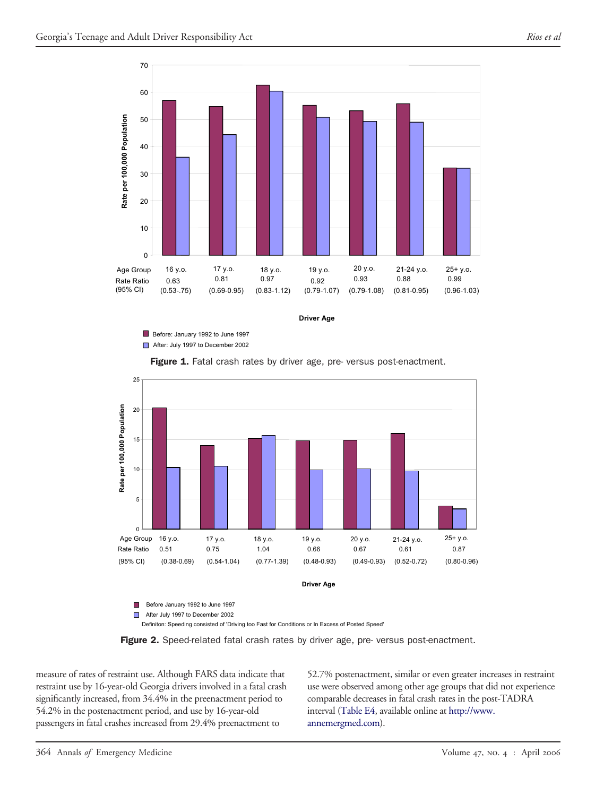<span id="page-3-0"></span>

**Driver Age**

Before: January 1992 to June 1997 After: July 1997 to December 2002

Figure 1. Fatal crash rates by driver age, pre- versus post-enactment.



Before January 1992 to June 1997

After July 1997 to December 2002

Definiton: Speeding consisted of 'Driving too Fast for Conditions or In Excess of Posted Speed'



measure of rates of restraint use. Although FARS data indicate that restraint use by 16-year-old Georgia drivers involved in a fatal crash significantly increased, from 34.4% in the preenactment period to 54.2% in the postenactment period, and use by 16-year-old passengers in fatal crashes increased from 29.4% preenactment to

52.7% postenactment, similar or even greater increases in restraint use were observed among other age groups that did not experience comparable decreases in fatal crash rates in the post-TADRA interval [\(Table](#page-10-0) E4, available online at [http://www.](http://www.annemergmed.com) [annemergmed.com\)](http://www.annemergmed.com).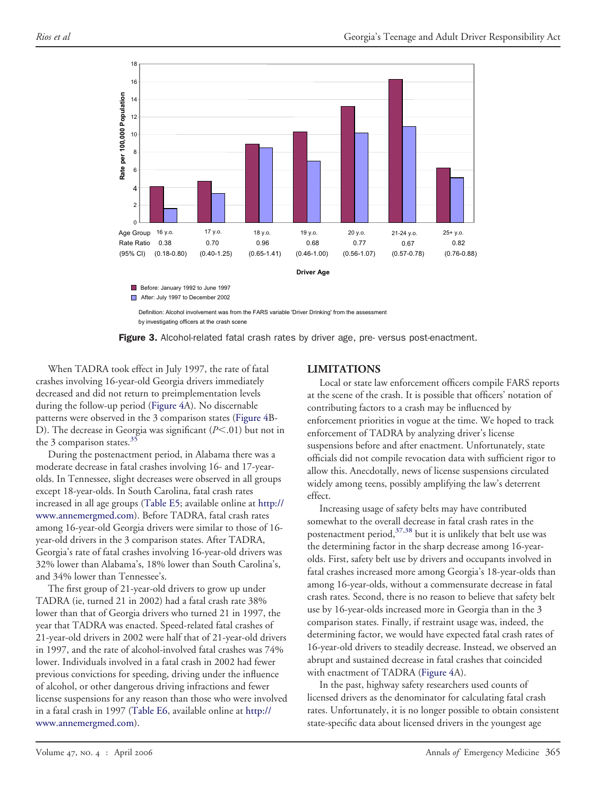<span id="page-4-0"></span>

Definition: Alcohol involvement was from the FARS variable 'Driver Drinking' from the assessment by investigating officers at the crash scene



When TADRA took effect in July 1997, the rate of fatal crashes involving 16-year-old Georgia drivers immediately decreased and did not return to preimplementation levels during the follow-up period [\(Figure](#page-5-0) 4A). No discernable patterns were observed in the 3 comparison states [\(Figure](#page-5-0) 4B-D). The decrease in Georgia was significant  $(P<.01)$  but not in the 3 comparison states.<sup>35</sup>

During the postenactment period, in Alabama there was a moderate decrease in fatal crashes involving 16- and 17-yearolds. In Tennessee, slight decreases were observed in all groups except 18-year-olds. In South Carolina, fatal crash rates increased in all age groups [\(Table](#page-10-0) E5; available online at [http://](http://www.annemergmed.com) [www.annemergmed.com\)](http://www.annemergmed.com). Before TADRA, fatal crash rates among 16-year-old Georgia drivers were similar to those of 16 year-old drivers in the 3 comparison states. After TADRA, Georgia's rate of fatal crashes involving 16-year-old drivers was 32% lower than Alabama's, 18% lower than South Carolina's, and 34% lower than Tennessee's.

The first group of 21-year-old drivers to grow up under TADRA (ie, turned 21 in 2002) had a fatal crash rate 38% lower than that of Georgia drivers who turned 21 in 1997, the year that TADRA was enacted. Speed-related fatal crashes of 21-year-old drivers in 2002 were half that of 21-year-old drivers in 1997, and the rate of alcohol-involved fatal crashes was 74% lower. Individuals involved in a fatal crash in 2002 had fewer previous convictions for speeding, driving under the influence of alcohol, or other dangerous driving infractions and fewer license suspensions for any reason than those who were involved in a fatal crash in 1997 [\(Table](#page-11-0) E6, available online at [http://](http://www.annemergmed.com) [www.annemergmed.com\)](http://www.annemergmed.com).

# **LIMITATIONS**

Local or state law enforcement officers compile FARS reports at the scene of the crash. It is possible that officers' notation of contributing factors to a crash may be influenced by enforcement priorities in vogue at the time. We hoped to track enforcement of TADRA by analyzing driver's license suspensions before and after enactment. Unfortunately, state officials did not compile revocation data with sufficient rigor to allow this. Anecdotally, news of license suspensions circulated widely among teens, possibly amplifying the law's deterrent effect.

Increasing usage of safety belts may have contributed somewhat to the overall decrease in fatal crash rates in the postenactment period, $37,38$  but it is unlikely that belt use was the determining factor in the sharp decrease among 16-yearolds. First, safety belt use by drivers and occupants involved in fatal crashes increased more among Georgia's 18-year-olds than among 16-year-olds, without a commensurate decrease in fatal crash rates. Second, there is no reason to believe that safety belt use by 16-year-olds increased more in Georgia than in the 3 comparison states. Finally, if restraint usage was, indeed, the determining factor, we would have expected fatal crash rates of 16-year-old drivers to steadily decrease. Instead, we observed an abrupt and sustained decrease in fatal crashes that coincided with enactment of TADRA [\(Figure](#page-5-0) 4A).

In the past, highway safety researchers used counts of licensed drivers as the denominator for calculating fatal crash rates. Unfortunately, it is no longer possible to obtain consistent state-specific data about licensed drivers in the youngest age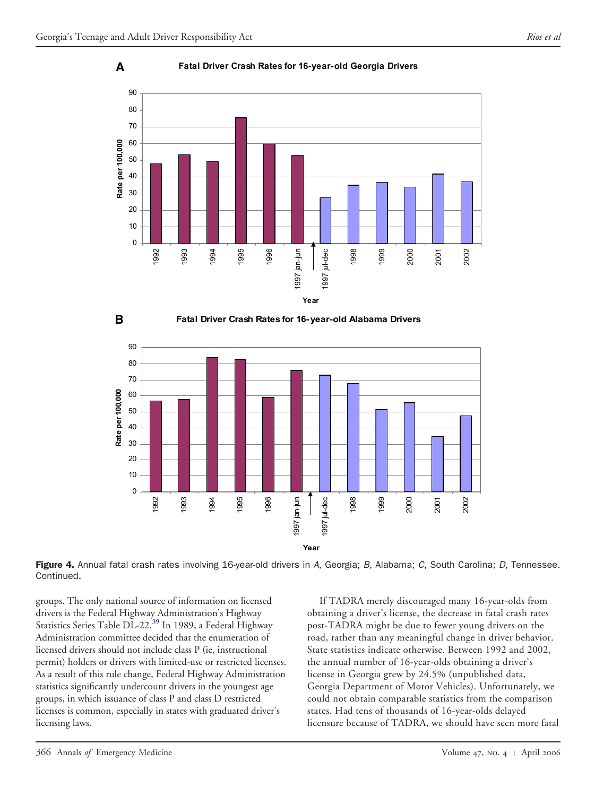<span id="page-5-0"></span>

#### **Fatal Driver Crash Rates for 16- year-old Georgia Drivers**



Figure 4. Annual fatal crash rates involving 16-year-old drivers in *A*, Georgia; *B*, Alabama; *C*, South Carolina; *D*, Tennessee. Continued.

groups. The only national source of information on licensed drivers is the Federal Highway Administration's Highway Statistics Series Table DL-22.<sup>39</sup> In 1989, a Federal Highway Administration committee decided that the enumeration of licensed drivers should not include class P (ie, instructional permit) holders or drivers with limited-use or restricted licenses. As a result of this rule change, Federal Highway Administration statistics significantly undercount drivers in the youngest age groups, in which issuance of class P and class D restricted licenses is common, especially in states with graduated driver's licensing laws.

If TADRA merely discouraged many 16-year-olds from obtaining a driver's license, the decrease in fatal crash rates post-TADRA might be due to fewer young drivers on the road, rather than any meaningful change in driver behavior. State statistics indicate otherwise. Between 1992 and 2002, the annual number of 16-year-olds obtaining a driver's license in Georgia grew by 24.5% (unpublished data, Georgia Department of Motor Vehicles). Unfortunately, we could not obtain comparable statistics from the comparison states. Had tens of thousands of 16-year-olds delayed licensure because of TADRA, we should have seen more fatal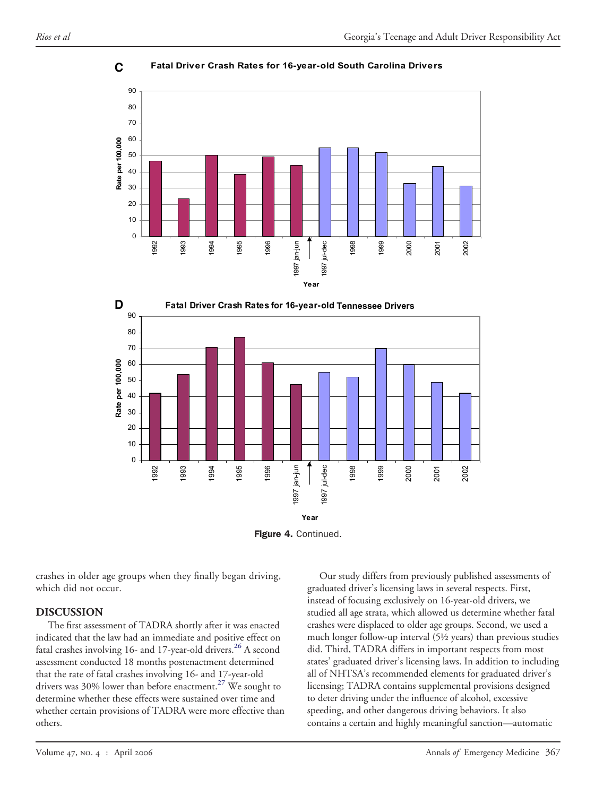**C**



**Fatal Driver Crash Rates for 16- year- old South Carolina Drivers**



Figure 4. Continued.

crashes in older age groups when they finally began driving, which did not occur.

# **DISCUSSION**

The first assessment of TADRA shortly after it was enacted indicated that the law had an immediate and positive effect on fatal crashes involving 16- and 17-year-old drivers.<sup>[26](#page-8-0)</sup> A second assessment conducted 18 months postenactment determined that the rate of fatal crashes involving 16- and 17-year-old drivers was 30% lower than before enactment.<sup>27</sup> We sought to determine whether these effects were sustained over time and whether certain provisions of TADRA were more effective than others.

Our study differs from previously published assessments of graduated driver's licensing laws in several respects. First, instead of focusing exclusively on 16-year-old drivers, we studied all age strata, which allowed us determine whether fatal crashes were displaced to older age groups. Second, we used a much longer follow-up interval (5½ years) than previous studies did. Third, TADRA differs in important respects from most states' graduated driver's licensing laws. In addition to including all of NHTSA's recommended elements for graduated driver's licensing; TADRA contains supplemental provisions designed to deter driving under the influence of alcohol, excessive speeding, and other dangerous driving behaviors. It also contains a certain and highly meaningful sanction—automatic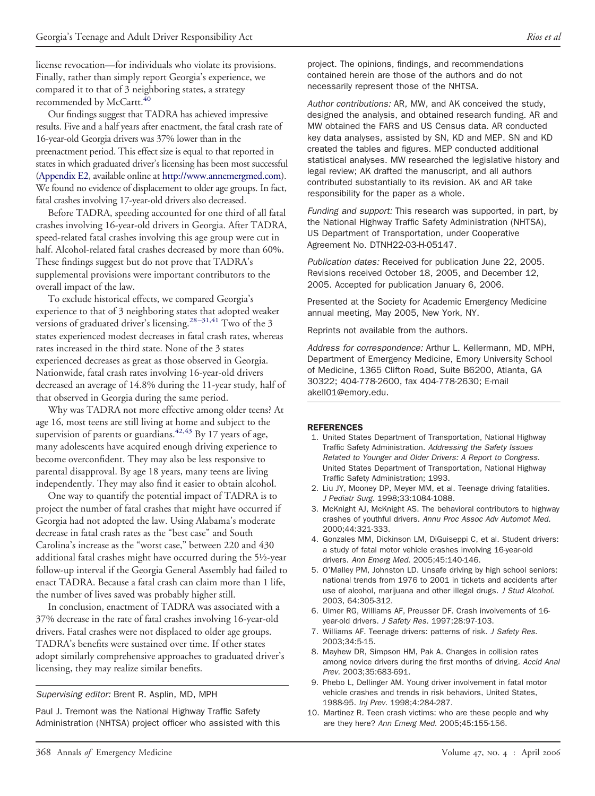<span id="page-7-0"></span>license revocation—for individuals who violate its provisions. Finally, rather than simply report Georgia's experience, we compared it to that of 3 neighboring states, a strategy recommended by McCartt.<sup>40</sup>

Our findings suggest that TADRA has achieved impressive results. Five and a half years after enactment, the fatal crash rate of 16-year-old Georgia drivers was 37% lower than in the preenactment period. This effect size is equal to that reported in states in which graduated driver's licensing has been most successful [\(Appendix](#page-14-0) E2, available online at [http://www.annemergmed.com\)](http://www.annemergmed.com). We found no evidence of displacement to older age groups. In fact, fatal crashes involving 17-year-old drivers also decreased.

Before TADRA, speeding accounted for one third of all fatal crashes involving 16-year-old drivers in Georgia. After TADRA, speed-related fatal crashes involving this age group were cut in half. Alcohol-related fatal crashes decreased by more than 60%. These findings suggest but do not prove that TADRA's supplemental provisions were important contributors to the overall impact of the law.

To exclude historical effects, we compared Georgia's experience to that of 3 neighboring states that adopted weaker versions of graduated driver's licensing.<sup>28–31,41</sup> Two of the 3 states experienced modest decreases in fatal crash rates, whereas rates increased in the third state. None of the 3 states experienced decreases as great as those observed in Georgia. Nationwide, fatal crash rates involving 16-year-old drivers decreased an average of 14.8% during the 11-year study, half of that observed in Georgia during the same period.

Why was TADRA not more effective among older teens? At age 16, most teens are still living at home and subject to the supervision of parents or guardians.<sup>42,43</sup> By 17 years of age, many adolescents have acquired enough driving experience to become overconfident. They may also be less responsive to parental disapproval. By age 18 years, many teens are living independently. They may also find it easier to obtain alcohol.

One way to quantify the potential impact of TADRA is to project the number of fatal crashes that might have occurred if Georgia had not adopted the law. Using Alabama's moderate decrease in fatal crash rates as the "best case" and South Carolina's increase as the "worst case," between 220 and 430 additional fatal crashes might have occurred during the 5½-year follow-up interval if the Georgia General Assembly had failed to enact TADRA. Because a fatal crash can claim more than 1 life, the number of lives saved was probably higher still.

In conclusion, enactment of TADRA was associated with a 37% decrease in the rate of fatal crashes involving 16-year-old drivers. Fatal crashes were not displaced to older age groups. TADRA's benefits were sustained over time. If other states adopt similarly comprehensive approaches to graduated driver's licensing, they may realize similar benefits.

*Supervising editor:* Brent R. Asplin, MD, MPH

Paul J. Tremont was the National Highway Traffic Safety Administration (NHTSA) project officer who assisted with this project. The opinions, findings, and recommendations contained herein are those of the authors and do not necessarily represent those of the NHTSA.

*Author contributions:* AR, MW, and AK conceived the study, designed the analysis, and obtained research funding. AR and MW obtained the FARS and US Census data. AR conducted key data analyses, assisted by SN, KD and MEP. SN and KD created the tables and figures. MEP conducted additional statistical analyses. MW researched the legislative history and legal review; AK drafted the manuscript, and all authors contributed substantially to its revision. AK and AR take responsibility for the paper as a whole.

*Funding and support:* This research was supported, in part, by the National Highway Traffic Safety Administration (NHTSA), US Department of Transportation, under Cooperative Agreement No. DTNH22-03-H-05147.

*Publication dates:* Received for publication June 22, 2005. Revisions received October 18, 2005, and December 12, 2005. Accepted for publication January 6, 2006.

Presented at the Society for Academic Emergency Medicine annual meeting, May 2005, New York, NY.

Reprints not available from the authors.

*Address for correspondence:* Arthur L. Kellermann, MD, MPH, Department of Emergency Medicine, Emory University School of Medicine, 1365 Clifton Road, Suite B6200, Atlanta, GA 30322; 404-778-2600, fax 404-778-2630; E-mail akell01@emory.edu.

#### REFERENCES

- 1. United States Department of Transportation, National Highway Traffic Safety Administration. *Addressing the Safety Issues Related to Younger and Older Drivers: A Report to Congress*. United States Department of Transportation, National Highway Traffic Safety Administration; 1993.
- 2. Liu JY, Mooney DP, Meyer MM, et al. Teenage driving fatalities. *J Pediatr Surg.* 1998;33:1084-1088.
- 3. McKnight AJ, McKnight AS. The behavioral contributors to highway crashes of youthful drivers. *Annu Proc Assoc Adv Automot Med.* 2000;44:321-333.
- 4. Gonzales MM, Dickinson LM, DiGuiseppi C, et al. Student drivers: a study of fatal motor vehicle crashes involving 16-year-old drivers. *Ann Emerg Med.* 2005;45:140-146.
- 5. O'Malley PM, Johnston LD. Unsafe driving by high school seniors: national trends from 1976 to 2001 in tickets and accidents after use of alcohol, marijuana and other illegal drugs. *J Stud Alcohol*. 2003, 64:305-312.
- 6. Ulmer RG, Williams AF, Preusser DF. Crash involvements of 16 year-old drivers. *J Safety Res.* 1997;28:97-103.
- 7. Williams AF. Teenage drivers: patterns of risk. *J Safety Res.* 2003;34:5-15.
- 8. Mayhew DR, Simpson HM, Pak A. Changes in collision rates among novice drivers during the first months of driving. *Accid Anal Prev.* 2003;35:683-691.
- 9. Phebo L, Dellinger AM. Young driver involvement in fatal motor vehicle crashes and trends in risk behaviors, United States, 1988-95. *Inj Prev.* 1998;4:284-287.
- 10. Martinez R. Teen crash victims: who are these people and why are they here? *Ann Emerg Med.* 2005;45:155-156.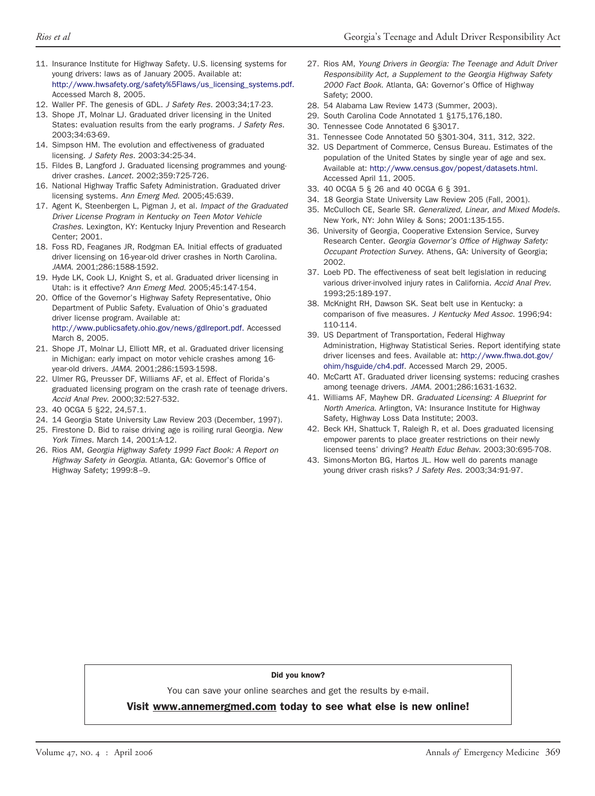- <span id="page-8-0"></span>11. Insurance Institute for Highway Safety. U.S. licensing systems for young drivers: laws as of January 2005. Available at: [http://www.hwsafety.org/safety%5Flaws/us\\_licensing\\_systems.pdf.](http://www.hwsafety.org/safety%5Flaws/us_licensing_systems.pdf) Accessed March 8, 2005.
- 12. Waller PF. The genesis of GDL. *J Safety Res.* 2003;34;17-23.
- 13. Shope JT, Molnar LJ. Graduated driver licensing in the United States: evaluation results from the early programs. *J Safety Res.* 2003;34:63-69.
- 14. Simpson HM. The evolution and effectiveness of graduated licensing. *J Safety Res.* 2003:34:25-34.
- 15. Fildes B, Langford J. Graduated licensing programmes and youngdriver crashes. *Lancet.* 2002;359:725-726.
- 16. National Highway Traffic Safety Administration. Graduated driver licensing systems. *Ann Emerg Med*. 2005;45:639.
- 17. Agent K, Steenbergen L, Pigman J, et al. *Impact of the Graduated Driver License Program in Kentucky on Teen Motor Vehicle Crashes*. Lexington, KY: Kentucky Injury Prevention and Research Center; 2001.
- 18. Foss RD, Feaganes JR, Rodgman EA. Initial effects of graduated driver licensing on 16-year-old driver crashes in North Carolina. *JAMA.* 2001;286:1588-1592.
- 19. Hyde LK, Cook LJ, Knight S, et al. Graduated driver licensing in Utah: is it effective? *Ann Emerg Med.* 2005;45:147-154.
- 20. Office of the Governor's Highway Safety Representative, Ohio Department of Public Safety. Evaluation of Ohio's graduated driver license program. Available at: [http://www.publicsafety.ohio.gov/news/gdlreport.pdf.](http://www.publicsafety.ohio.gov/news/gdlreport.pdf) Accessed March 8, 2005.
- 21. Shope JT, Molnar LJ, Elliott MR, et al. Graduated driver licensing in Michigan: early impact on motor vehicle crashes among 16 year-old drivers. *JAMA*. 2001;286:1593-1598.
- 22. Ulmer RG, Preusser DF, Williams AF, et al. Effect of Florida's graduated licensing program on the crash rate of teenage drivers. *Accid Anal Prev*. 2000;32:527-532.
- 23. 40 OCGA 5 §22, 24,57.1.
- 24. 14 Georgia State University Law Review 203 (December, 1997).
- 25. Firestone D. Bid to raise driving age is roiling rural Georgia*. New York Times.* March 14, 2001:A-12.
- 26. Rios AM, *Georgia Highway Safety 1999 Fact Book: A Report on Highway Safety in Georgia*. Atlanta, GA: Governor's Office of Highway Safety; 1999:8–9.
- 27. Rios AM, *Young Drivers in Georgia: The Teenage and Adult Driver Responsibility Act, a Supplement to the Georgia Highway Safety 2000 Fact Book*. Atlanta, GA: Governor's Office of Highway Safety; 2000.
- 28. 54 Alabama Law Review 1473 (Summer, 2003).
- 29. South Carolina Code Annotated 1 §175,176,180.
- 30. Tennessee Code Annotated 6 §3017.
- 31. Tennessee Code Annotated 50 §301-304, 311, 312, 322.
- 32. US Department of Commerce, Census Bureau. Estimates of the population of the United States by single year of age and sex. Available at: [http://www.census.gov/popest/datasets.html.](http://www.census.gov/popest/datasets.html) Accessed April 11, 2005.
- 33. 40 OCGA 5 § 26 and 40 OCGA 6 § 391.
- 34. 18 Georgia State University Law Review 205 (Fall, 2001).
- 35. McCulloch CE, Searle SR. *Generalized, Linear, and Mixed Models*. New York, NY: John Wiley & Sons; 2001:135-155.
- 36. University of Georgia, Cooperative Extension Service, Survey Research Center. *Georgia Governor's Office of Highway Safety: Occupant Protection Survey*. Athens, GA: University of Georgia; 2002.
- 37. Loeb PD. The effectiveness of seat belt legislation in reducing various driver-involved injury rates in California. *Accid Anal Prev.* 1993;25:189-197.
- 38. McKnight RH, Dawson SK. Seat belt use in Kentucky: a comparison of five measures. *J Kentucky Med Assoc*. 1996;94: 110-114.
- 39. US Department of Transportation, Federal Highway Administration, Highway Statistical Series. Report identifying state driver licenses and fees. Available at: [http://www.fhwa.dot.gov/](http://www.fhwa.dot.gov/ohim/hsguide/ch4.pdf) [ohim/hsguide/ch4.pdf.](http://www.fhwa.dot.gov/ohim/hsguide/ch4.pdf) Accessed March 29, 2005.
- 40. McCartt AT. Graduated driver licensing systems: reducing crashes among teenage drivers. *JAMA*. 2001;286:1631-1632.
- 41. Williams AF, Mayhew DR. *Graduated Licensing: A Blueprint for North America*. Arlington, VA: Insurance Institute for Highway Safety, Highway Loss Data Institute; 2003.
- 42. Beck KH, Shattuck T, Raleigh R, et al. Does graduated licensing empower parents to place greater restrictions on their newly licensed teens' driving? *Health Educ Behav.* 2003;30:695-708.
- 43. Simons-Morton BG, Hartos JL. How well do parents manage young driver crash risks? *J Safety Res*. 2003;34:91-97.

#### Did you know?

You can save your online searches and get the results by e-mail.

Visit www.annemergmed.com today to see what else is new online!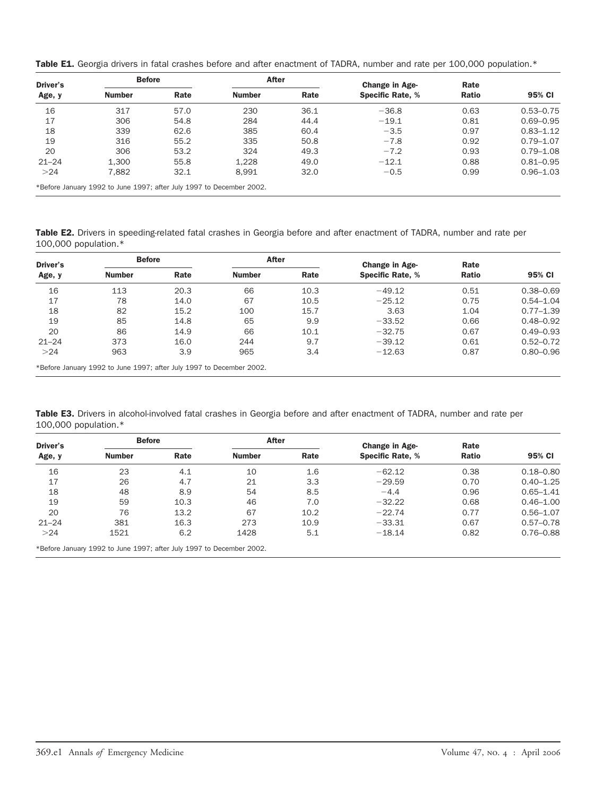<span id="page-9-0"></span>

| Table E1. Georgia drivers in fatal crashes before and after enactment of TADRA, number and rate per 100,000 population.* |  |
|--------------------------------------------------------------------------------------------------------------------------|--|
|--------------------------------------------------------------------------------------------------------------------------|--|

| Driver's  | <b>Before</b>                                                        |      | After         |      | Change in Age-          | Rate         |               |
|-----------|----------------------------------------------------------------------|------|---------------|------|-------------------------|--------------|---------------|
| Age, y    | <b>Number</b>                                                        | Rate | <b>Number</b> | Rate | <b>Specific Rate, %</b> | <b>Ratio</b> | 95% CI        |
| 16        | 317                                                                  | 57.0 | 230           | 36.1 | $-36.8$                 | 0.63         | $0.53 - 0.75$ |
| 17        | 306                                                                  | 54.8 | 284           | 44.4 | $-19.1$                 | 0.81         | $0.69 - 0.95$ |
| 18        | 339                                                                  | 62.6 | 385           | 60.4 | $-3.5$                  | 0.97         | $0.83 - 1.12$ |
| 19        | 316                                                                  | 55.2 | 335           | 50.8 | $-7.8$                  | 0.92         | $0.79 - 1.07$ |
| 20        | 306                                                                  | 53.2 | 324           | 49.3 | $-7.2$                  | 0.93         | $0.79 - 1.08$ |
| $21 - 24$ | 1.300                                                                | 55.8 | 1,228         | 49.0 | $-12.1$                 | 0.88         | $0.81 - 0.95$ |
| >24       | 7.882                                                                | 32.1 | 8.991         | 32.0 | $-0.5$                  | 0.99         | $0.96 - 1.03$ |
|           | *Before January 1992 to June 1997; after July 1997 to December 2002. |      |               |      |                         |              |               |

Table E2. Drivers in speeding-related fatal crashes in Georgia before and after enactment of TADRA, number and rate per 100,000 population.\*

| Driver's  | <b>Before</b>                                                        |      | After         |      | Change in Age-          | Rate  |               |
|-----------|----------------------------------------------------------------------|------|---------------|------|-------------------------|-------|---------------|
| Age, y    | <b>Number</b>                                                        | Rate | <b>Number</b> | Rate | <b>Specific Rate, %</b> | Ratio | 95% CI        |
| 16        | 113                                                                  | 20.3 | 66            | 10.3 | $-49.12$                | 0.51  | $0.38 - 0.69$ |
| 17        | 78                                                                   | 14.0 | 67            | 10.5 | $-25.12$                | 0.75  | $0.54 - 1.04$ |
| 18        | 82                                                                   | 15.2 | 100           | 15.7 | 3.63                    | 1.04  | $0.77 - 1.39$ |
| 19        | 85                                                                   | 14.8 | 65            | 9.9  | $-33.52$                | 0.66  | $0.48 - 0.92$ |
| 20        | 86                                                                   | 14.9 | 66            | 10.1 | $-32.75$                | 0.67  | $0.49 - 0.93$ |
| $21 - 24$ | 373                                                                  | 16.0 | 244           | 9.7  | $-39.12$                | 0.61  | $0.52 - 0.72$ |
| >24       | 963                                                                  | 3.9  | 965           | 3.4  | $-12.63$                | 0.87  | $0.80 - 0.96$ |
|           | *Before January 1992 to June 1997; after July 1997 to December 2002. |      |               |      |                         |       |               |

Table E3. Drivers in alcohol-involved fatal crashes in Georgia before and after enactment of TADRA, number and rate per 100,000 population.\*

| Driver's<br>Age, y | <b>Before</b> |      | After         |      | Change in Age-          | Rate         | 95% CI        |
|--------------------|---------------|------|---------------|------|-------------------------|--------------|---------------|
|                    | <b>Number</b> | Rate | <b>Number</b> | Rate | <b>Specific Rate, %</b> | <b>Ratio</b> |               |
| 16                 | 23            | 4.1  | 10            | 1.6  | $-62.12$                | 0.38         | $0.18 - 0.80$ |
| 17                 | 26            | 4.7  | 21            | 3.3  | $-29.59$                | 0.70         | $0.40 - 1.25$ |
| 18                 | 48            | 8.9  | 54            | 8.5  | $-4.4$                  | 0.96         | $0.65 - 1.41$ |
| 19                 | 59            | 10.3 | 46            | 7.0  | $-32.22$                | 0.68         | $0.46 - 1.00$ |
| 20                 | 76            | 13.2 | 67            | 10.2 | $-22.74$                | 0.77         | $0.56 - 1.07$ |
| $21 - 24$          | 381           | 16.3 | 273           | 10.9 | $-33.31$                | 0.67         | $0.57 - 0.78$ |
| >24                | 1521          | 6.2  | 1428          | 5.1  | $-18.14$                | 0.82         | $0.76 - 0.88$ |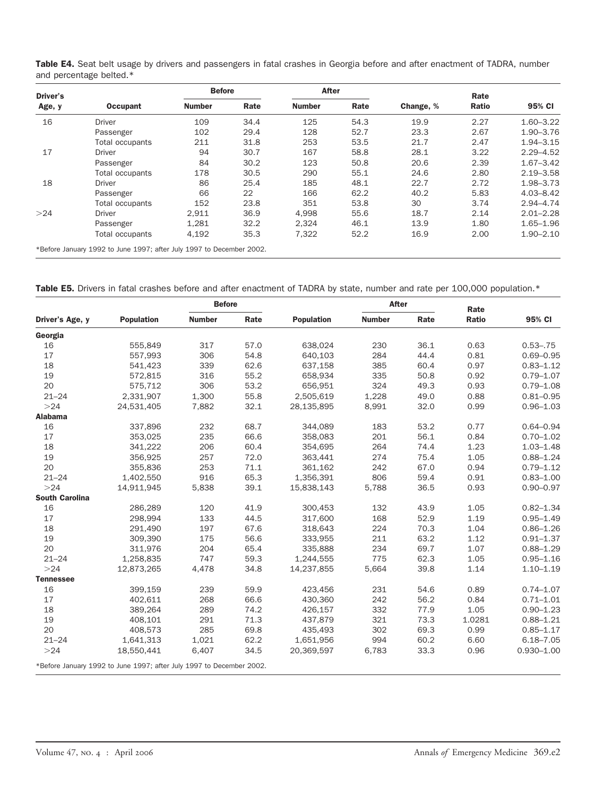| <b>Occupant</b><br><b>Driver</b> | <b>Number</b> | Rate                                                                        | <b>Number</b> |      |           | Rate  |               |
|----------------------------------|---------------|-----------------------------------------------------------------------------|---------------|------|-----------|-------|---------------|
|                                  |               |                                                                             |               | Rate | Change, % | Ratio | 95% CI        |
|                                  | 109           | 34.4                                                                        | 125           | 54.3 | 19.9      | 2.27  | $1.60 - 3.22$ |
| Passenger                        | 102           | 29.4                                                                        | 128           | 52.7 | 23.3      | 2.67  | $1.90 - 3.76$ |
| Total occupants                  | 211           | 31.8                                                                        | 253           | 53.5 | 21.7      | 2.47  | $1.94 - 3.15$ |
| <b>Driver</b>                    | 94            | 30.7                                                                        | 167           | 58.8 | 28.1      | 3.22  | $2.29 - 4.52$ |
| Passenger                        | 84            | 30.2                                                                        | 123           | 50.8 | 20.6      | 2.39  | $1.67 - 3.42$ |
| Total occupants                  | 178           | 30.5                                                                        | 290           | 55.1 | 24.6      | 2.80  | $2.19 - 3.58$ |
| <b>Driver</b>                    | 86            | 25.4                                                                        | 185           | 48.1 | 22.7      | 2.72  | 1.98-3.73     |
| Passenger                        | 66            | 22                                                                          | 166           | 62.2 | 40.2      | 5.83  | $4.03 - 8.42$ |
| Total occupants                  | 152           | 23.8                                                                        | 351           | 53.8 | 30        | 3.74  | $2.94 - 4.74$ |
| <b>Driver</b>                    | 2,911         | 36.9                                                                        | 4.998         | 55.6 | 18.7      | 2.14  | $2.01 - 2.28$ |
| Passenger                        | 1,281         | 32.2                                                                        | 2,324         | 46.1 | 13.9      | 1.80  | $1.65 - 1.96$ |
| Total occupants                  | 4,192         | 35.3                                                                        | 7,322         | 52.2 | 16.9      | 2.00  | $1.90 - 2.10$ |
|                                  |               | $*$ Defeue Jonison $4000$ to line $4007$ efter like $4007$ to December 2000 |               |      |           |       |               |

<span id="page-10-0"></span>Table E4. Seat belt usage by drivers and passengers in fatal crashes in Georgia before and after enactment of TADRA, number and percentage belted.\*

\*Before January 1992 to June 1997; after July 1997 to December 2002.

|  |  |  |  | Table E5. Drivers in fatal crashes before and after enactment of TADRA by state, number and rate per 100,000 population.* |  |  |  |  |  |
|--|--|--|--|---------------------------------------------------------------------------------------------------------------------------|--|--|--|--|--|
|  |  |  |  |                                                                                                                           |  |  |  |  |  |

|                       |                                                                      | <b>Before</b> |      |                   | <b>After</b>  |      | Rate         |                |
|-----------------------|----------------------------------------------------------------------|---------------|------|-------------------|---------------|------|--------------|----------------|
| Driver's Age, y       | <b>Population</b>                                                    | <b>Number</b> | Rate | <b>Population</b> | <b>Number</b> | Rate | <b>Ratio</b> | 95% CI         |
| Georgia               |                                                                      |               |      |                   |               |      |              |                |
| 16                    | 555.849                                                              | 317           | 57.0 | 638.024           | 230           | 36.1 | 0.63         | $0.53 - .75$   |
| 17                    | 557.993                                                              | 306           | 54.8 | 640,103           | 284           | 44.4 | 0.81         | $0.69 - 0.95$  |
| 18                    | 541,423                                                              | 339           | 62.6 | 637,158           | 385           | 60.4 | 0.97         | $0.83 - 1.12$  |
| 19                    | 572,815                                                              | 316           | 55.2 | 658.934           | 335           | 50.8 | 0.92         | $0.79 - 1.07$  |
| 20                    | 575,712                                                              | 306           | 53.2 | 656,951           | 324           | 49.3 | 0.93         | $0.79 - 1.08$  |
| $21 - 24$             | 2,331,907                                                            | 1,300         | 55.8 | 2,505,619         | 1,228         | 49.0 | 0.88         | $0.81 - 0.95$  |
| >24                   | 24,531,405                                                           | 7,882         | 32.1 | 28,135,895        | 8,991         | 32.0 | 0.99         | $0.96 - 1.03$  |
| <b>Alabama</b>        |                                                                      |               |      |                   |               |      |              |                |
| 16                    | 337,896                                                              | 232           | 68.7 | 344,089           | 183           | 53.2 | 0.77         | $0.64 - 0.94$  |
| 17                    | 353,025                                                              | 235           | 66.6 | 358,083           | 201           | 56.1 | 0.84         | $0.70 - 1.02$  |
| 18                    | 341,222                                                              | 206           | 60.4 | 354,695           | 264           | 74.4 | 1.23         | $1.03 - 1.48$  |
| 19                    | 356,925                                                              | 257           | 72.0 | 363,441           | 274           | 75.4 | 1.05         | $0.88 - 1.24$  |
| 20                    | 355,836                                                              | 253           | 71.1 | 361,162           | 242           | 67.0 | 0.94         | $0.79 - 1.12$  |
| $21 - 24$             | 1,402,550                                                            | 916           | 65.3 | 1,356,391         | 806           | 59.4 | 0.91         | $0.83 - 1.00$  |
| >24                   | 14,911,945                                                           | 5,838         | 39.1 | 15,838,143        | 5,788         | 36.5 | 0.93         | $0.90 - 0.97$  |
| <b>South Carolina</b> |                                                                      |               |      |                   |               |      |              |                |
| 16                    | 286,289                                                              | 120           | 41.9 | 300,453           | 132           | 43.9 | 1.05         | $0.82 - 1.34$  |
| 17                    | 298,994                                                              | 133           | 44.5 | 317,600           | 168           | 52.9 | 1.19         | $0.95 - 1.49$  |
| 18                    | 291,490                                                              | 197           | 67.6 | 318,643           | 224           | 70.3 | 1.04         | $0.86 - 1.26$  |
| 19                    | 309,390                                                              | 175           | 56.6 | 333,955           | 211           | 63.2 | 1.12         | $0.91 - 1.37$  |
| 20                    | 311,976                                                              | 204           | 65.4 | 335,888           | 234           | 69.7 | 1.07         | $0.88 - 1.29$  |
| $21 - 24$             | 1.258.835                                                            | 747           | 59.3 | 1,244,555         | 775           | 62.3 | 1.05         | $0.95 - 1.16$  |
| >24                   | 12,873,265                                                           | 4,478         | 34.8 | 14,237,855        | 5,664         | 39.8 | 1.14         | $1.10 - 1.19$  |
| <b>Tennessee</b>      |                                                                      |               |      |                   |               |      |              |                |
| 16                    | 399.159                                                              | 239           | 59.9 | 423.456           | 231           | 54.6 | 0.89         | $0.74 - 1.07$  |
| 17                    | 402,611                                                              | 268           | 66.6 | 430,360           | 242           | 56.2 | 0.84         | $0.71 - 1.01$  |
| 18                    | 389,264                                                              | 289           | 74.2 | 426,157           | 332           | 77.9 | 1.05         | $0.90 - 1.23$  |
| 19                    | 408.101                                                              | 291           | 71.3 | 437.879           | 321           | 73.3 | 1.0281       | $0.88 - 1.21$  |
| 20                    | 408,573                                                              | 285           | 69.8 | 435,493           | 302           | 69.3 | 0.99         | $0.85 - 1.17$  |
| $21 - 24$             | 1,641,313                                                            | 1,021         | 62.2 | 1,651,956         | 994           | 60.2 | 6.60         | $6.18 - 7.05$  |
| >24                   | 18.550.441                                                           | 6.407         | 34.5 | 20,369,597        | 6.783         | 33.3 | 0.96         | $0.930 - 1.00$ |
|                       | *Before January 1992 to June 1997; after July 1997 to December 2002. |               |      |                   |               |      |              |                |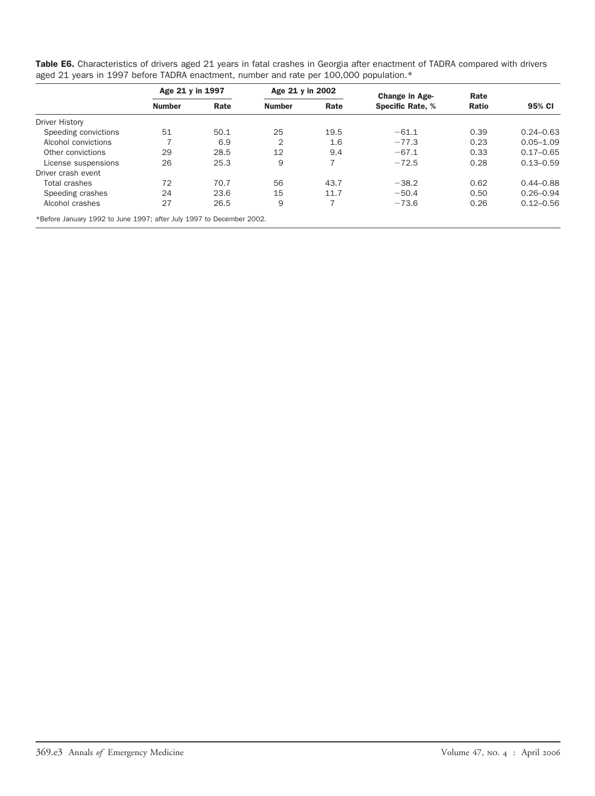<span id="page-11-0"></span>

| Table E6. Characteristics of drivers aged 21 years in fatal crashes in Georgia after enactment of TADRA compared with drivers |  |
|-------------------------------------------------------------------------------------------------------------------------------|--|
| aged 21 years in 1997 before TADRA enactment, number and rate per 100,000 population.*                                        |  |

|                       | Age 21 y in 1997 |      | Age 21 y in 2002 |      | <b>Change in Age-</b>   | Rate         |               |
|-----------------------|------------------|------|------------------|------|-------------------------|--------------|---------------|
|                       | <b>Number</b>    | Rate | <b>Number</b>    | Rate | <b>Specific Rate, %</b> | <b>Ratio</b> | 95% CI        |
| <b>Driver History</b> |                  |      |                  |      |                         |              |               |
| Speeding convictions  | 51               | 50.1 | 25               | 19.5 | $-61.1$                 | 0.39         | $0.24 - 0.63$ |
| Alcohol convictions   |                  | 6.9  | 2                | 1.6  | $-77.3$                 | 0.23         | $0.05 - 1.09$ |
| Other convictions     | 29               | 28.5 | 12               | 9.4  | $-67.1$                 | 0.33         | $0.17 - 0.65$ |
| License suspensions   | 26               | 25.3 | 9                | 7    | $-72.5$                 | 0.28         | $0.13 - 0.59$ |
| Driver crash event    |                  |      |                  |      |                         |              |               |
| Total crashes         | 72               | 70.7 | 56               | 43.7 | $-38.2$                 | 0.62         | $0.44 - 0.88$ |
| Speeding crashes      | 24               | 23.6 | 15               | 11.7 | $-50.4$                 | 0.50         | $0.26 - 0.94$ |
| Alcohol crashes       | 27               | 26.5 | 9                | 7    | $-73.6$                 | 0.26         | $0.12 - 0.56$ |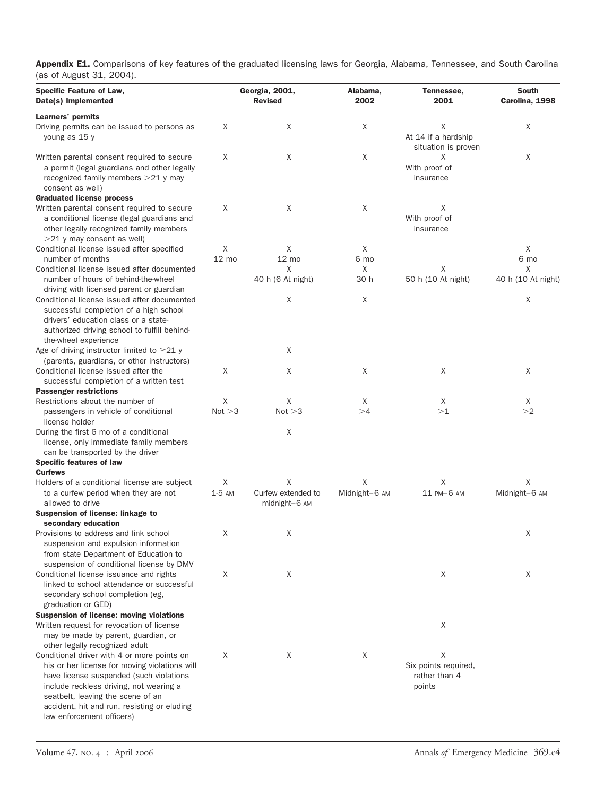<span id="page-12-0"></span>Appendix E1. Comparisons of key features of the graduated licensing laws for Georgia, Alabama, Tennessee, and South Carolina (as of August 31, 2004).

| <b>Specific Feature of Law,</b><br>Date(s) Implemented                                                                                                                                                                                                                                              |               | Georgia, 2001,<br><b>Revised</b>         | Alabama,<br>2002   | Tennessee,<br>2001                                     | South<br>Carolina, 1998 |  |
|-----------------------------------------------------------------------------------------------------------------------------------------------------------------------------------------------------------------------------------------------------------------------------------------------------|---------------|------------------------------------------|--------------------|--------------------------------------------------------|-------------------------|--|
| Learners' permits<br>Driving permits can be issued to persons as<br>young as 15 y                                                                                                                                                                                                                   | X             | Χ                                        | X                  | Χ<br>At 14 if a hardship                               | X                       |  |
| Written parental consent required to secure<br>a permit (legal guardians and other legally<br>recognized family members $>21$ y may<br>consent as well)                                                                                                                                             | X             | X                                        | X                  | situation is proven<br>Χ<br>With proof of<br>insurance | X                       |  |
| <b>Graduated license process</b><br>Written parental consent required to secure<br>a conditional license (legal guardians and<br>other legally recognized family members<br>$>$ 21 y may consent as well)                                                                                           | Χ             | Χ                                        | X                  | X<br>With proof of<br>insurance                        |                         |  |
| Conditional license issued after specified                                                                                                                                                                                                                                                          | X             | X                                        | X                  |                                                        | X                       |  |
| number of months                                                                                                                                                                                                                                                                                    | 12 mo         | 12 mo                                    | 6 mo               |                                                        | 6 mo                    |  |
| Conditional license issued after documented<br>number of hours of behind-the-wheel                                                                                                                                                                                                                  |               | X<br>40 h (6 At night)                   | X<br>30 h          | Χ<br>50 h (10 At night)                                | X<br>40 h (10 At night) |  |
| driving with licensed parent or guardian<br>Conditional license issued after documented<br>successful completion of a high school<br>drivers' education class or a state-<br>authorized driving school to fulfill behind-                                                                           |               | Χ                                        | X                  |                                                        | X                       |  |
| the-wheel experience<br>Age of driving instructor limited to $\geq$ 21 y                                                                                                                                                                                                                            |               | Χ                                        |                    |                                                        |                         |  |
| (parents, guardians, or other instructors)<br>Conditional license issued after the<br>successful completion of a written test                                                                                                                                                                       | X             | Χ                                        | X                  | X                                                      | X                       |  |
| <b>Passenger restrictions</b>                                                                                                                                                                                                                                                                       |               |                                          |                    |                                                        |                         |  |
| Restrictions about the number of                                                                                                                                                                                                                                                                    | X             | X                                        | X                  | X                                                      | X                       |  |
| passengers in vehicle of conditional<br>license holder                                                                                                                                                                                                                                              | Not > 3       | Not > 3                                  | >4                 | >1                                                     | >2                      |  |
| During the first 6 mo of a conditional<br>license, only immediate family members<br>can be transported by the driver                                                                                                                                                                                |               | X                                        |                    |                                                        |                         |  |
| Specific features of law                                                                                                                                                                                                                                                                            |               |                                          |                    |                                                        |                         |  |
| <b>Curfews</b>                                                                                                                                                                                                                                                                                      |               |                                          |                    |                                                        |                         |  |
| Holders of a conditional license are subject<br>to a curfew period when they are not<br>allowed to drive                                                                                                                                                                                            | X<br>$1-5$ AM | Χ<br>Curfew extended to<br>midnight-6 AM | Χ<br>Midnight-6 AM | Χ<br>11 PM-6 AM                                        | X<br>Midnight-6 AM      |  |
| Suspension of license: linkage to<br>secondary education                                                                                                                                                                                                                                            |               |                                          |                    |                                                        |                         |  |
| Provisions to address and link school<br>suspension and expulsion information<br>from state Department of Education to<br>suspension of conditional license by DMV                                                                                                                                  | Χ             | Χ                                        |                    |                                                        | X                       |  |
| Conditional license issuance and rights<br>linked to school attendance or successful<br>secondary school completion (eg,                                                                                                                                                                            | X             | X                                        |                    | X                                                      | X                       |  |
| graduation or GED)<br>Suspension of license: moving violations<br>Written request for revocation of license<br>may be made by parent, guardian, or<br>other legally recognized adult                                                                                                                |               |                                          |                    | X                                                      |                         |  |
| Conditional driver with 4 or more points on<br>his or her license for moving violations will<br>have license suspended (such violations<br>include reckless driving, not wearing a<br>seatbelt, leaving the scene of an<br>accident, hit and run, resisting or eluding<br>law enforcement officers) | X             | X                                        | X                  | X<br>Six points required,<br>rather than 4<br>points   |                         |  |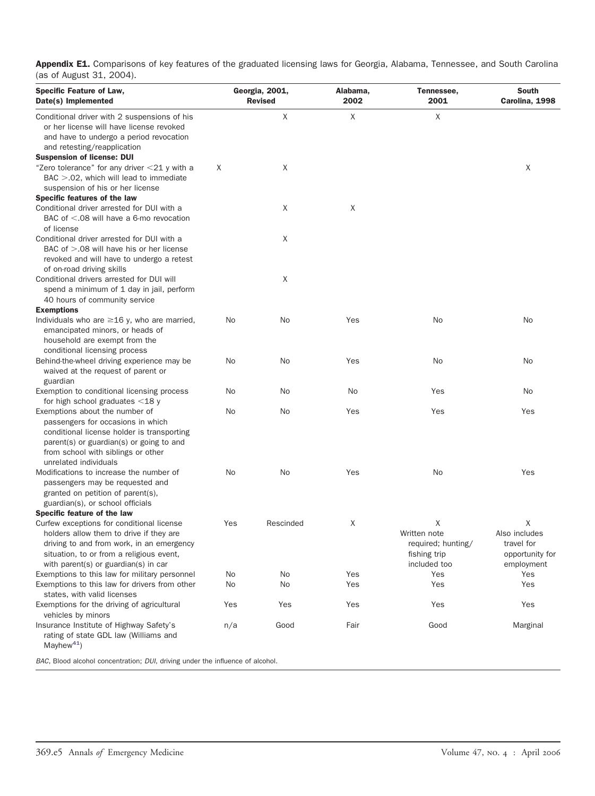Appendix E1. Comparisons of key features of the graduated licensing laws for Georgia, Alabama, Tennessee, and South Carolina (as of August 31, 2004).

| Specific Feature of Law,<br>Date(s) Implemented                                                                                                                                                                              |     | Georgia, 2001,<br><b>Revised</b> | Alabama,<br>2002 | Tennessee,<br>2001                                                      | <b>South</b><br>Carolina, 1998                                    |
|------------------------------------------------------------------------------------------------------------------------------------------------------------------------------------------------------------------------------|-----|----------------------------------|------------------|-------------------------------------------------------------------------|-------------------------------------------------------------------|
| Conditional driver with 2 suspensions of his<br>or her license will have license revoked<br>and have to undergo a period revocation<br>and retesting/reapplication                                                           |     | X                                | X                | X                                                                       |                                                                   |
| <b>Suspension of license: DUI</b><br>"Zero tolerance" for any driver <21 y with a<br>$BAC > 0.02$ , which will lead to immediate<br>suspension of his or her license                                                         | X   | X                                |                  |                                                                         | Χ                                                                 |
| Specific features of the law                                                                                                                                                                                                 |     |                                  |                  |                                                                         |                                                                   |
| Conditional driver arrested for DUI with a<br>BAC of $\leq$ .08 will have a 6-mo revocation<br>of license                                                                                                                    |     | X                                | X                |                                                                         |                                                                   |
| Conditional driver arrested for DUI with a<br>BAC of $> 0.08$ will have his or her license<br>revoked and will have to undergo a retest                                                                                      |     | Χ                                |                  |                                                                         |                                                                   |
| of on-road driving skills<br>Conditional drivers arrested for DUI will<br>spend a minimum of 1 day in jail, perform<br>40 hours of community service                                                                         |     | X                                |                  |                                                                         |                                                                   |
| <b>Exemptions</b>                                                                                                                                                                                                            |     |                                  |                  |                                                                         |                                                                   |
| Individuals who are $\geq$ 16 y, who are married,<br>emancipated minors, or heads of<br>household are exempt from the<br>conditional licensing process                                                                       | No  | No                               | Yes              | No                                                                      | No                                                                |
| Behind-the-wheel driving experience may be<br>waived at the request of parent or<br>guardian                                                                                                                                 | No  | No                               | Yes              | No                                                                      | No                                                                |
| Exemption to conditional licensing process                                                                                                                                                                                   | No  | No                               | No               | Yes                                                                     | No                                                                |
| for high school graduates $<$ 18 y                                                                                                                                                                                           |     |                                  |                  |                                                                         |                                                                   |
| Exemptions about the number of<br>passengers for occasions in which<br>conditional license holder is transporting<br>parent(s) or guardian(s) or going to and<br>from school with siblings or other<br>unrelated individuals | No  | No                               | Yes              | Yes                                                                     | Yes                                                               |
| Modifications to increase the number of<br>passengers may be requested and<br>granted on petition of parent(s),<br>guardian(s), or school officials                                                                          | No  | No                               | Yes              | No                                                                      | Yes                                                               |
| Specific feature of the law                                                                                                                                                                                                  |     |                                  |                  |                                                                         |                                                                   |
| Curfew exceptions for conditional license<br>holders allow them to drive if they are<br>driving to and from work, in an emergency<br>situation, to or from a religious event,<br>with parent(s) or guardian(s) in car        | Yes | Rescinded                        | X                | X<br>Written note<br>required; hunting/<br>fishing trip<br>included too | Χ<br>Also includes<br>travel for<br>opportunity for<br>employment |
| Exemptions to this law for military personnel                                                                                                                                                                                | No  | No                               | Yes              | Yes                                                                     | Yes                                                               |
| Exemptions to this law for drivers from other<br>states, with valid licenses                                                                                                                                                 | No  | No                               | Yes              | Yes                                                                     | Yes                                                               |
| Exemptions for the driving of agricultural<br>vehicles by minors                                                                                                                                                             | Yes | Yes                              | Yes              | Yes                                                                     | Yes                                                               |
| Insurance Institute of Highway Safety's<br>rating of state GDL law (Williams and<br>Mayhew <sup>41</sup> )                                                                                                                   | n/a | Good                             | Fair             | Good                                                                    | Marginal                                                          |

*BAC*, Blood alcohol concentration; *DUI*, driving under the influence of alcohol.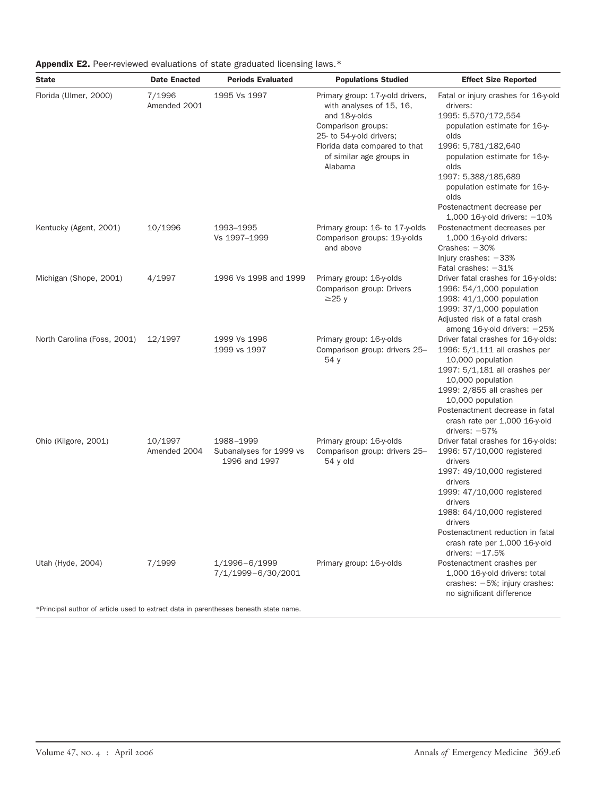<span id="page-14-0"></span>

|  | <b>Appendix E2.</b> Peer-reviewed evaluations of state graduated licensing laws.* |  |  |  |  |  |
|--|-----------------------------------------------------------------------------------|--|--|--|--|--|
|--|-----------------------------------------------------------------------------------|--|--|--|--|--|

| <b>State</b>                                                                         | <b>Date Enacted</b>     | <b>Periods Evaluated</b>                              | <b>Populations Studied</b>                                                                                                                                                                              | <b>Effect Size Reported</b>                                                                                                                                                                                                                                                                                          |
|--------------------------------------------------------------------------------------|-------------------------|-------------------------------------------------------|---------------------------------------------------------------------------------------------------------------------------------------------------------------------------------------------------------|----------------------------------------------------------------------------------------------------------------------------------------------------------------------------------------------------------------------------------------------------------------------------------------------------------------------|
| Florida (Ulmer, 2000)                                                                | 7/1996<br>Amended 2001  | 1995 Vs 1997                                          | Primary group: 17-y-old drivers,<br>with analyses of 15, 16,<br>and 18-y-olds<br>Comparison groups:<br>25- to 54-y-old drivers;<br>Florida data compared to that<br>of similar age groups in<br>Alabama | Fatal or injury crashes for 16-y-old<br>drivers:<br>1995: 5,570/172,554<br>population estimate for 16-y-<br>olds<br>1996: 5,781/182,640<br>population estimate for 16-y-<br>olds<br>1997: 5,388/185,689<br>population estimate for 16-y-<br>olds<br>Postenactment decrease per                                       |
| Kentucky (Agent, 2001)                                                               | 10/1996                 | 1993-1995<br>Vs 1997-1999                             | Primary group: 16- to 17-y-olds<br>Comparison groups: 19-y-olds<br>and above                                                                                                                            | 1,000 16-y-old drivers: $-10%$<br>Postenactment decreases per<br>1,000 16-y-old drivers:<br>Crashes: $-30%$<br>Injury crashes: $-33%$<br>Fatal crashes: $-31%$                                                                                                                                                       |
| Michigan (Shope, 2001)                                                               | 4/1997                  | 1996 Vs 1998 and 1999                                 | Primary group: 16-y-olds<br>Comparison group: Drivers<br>$\geq$ 25 y                                                                                                                                    | Driver fatal crashes for 16-y-olds:<br>1996: 54/1,000 population<br>1998: 41/1,000 population<br>1999: 37/1,000 population<br>Adjusted risk of a fatal crash<br>among $16$ -y-old drivers: $-25%$                                                                                                                    |
| North Carolina (Foss, 2001)                                                          | 12/1997                 | 1999 Vs 1996<br>1999 vs 1997                          | Primary group: 16-y-olds<br>Comparison group: drivers 25-<br>54 y                                                                                                                                       | Driver fatal crashes for 16-y-olds:<br>1996: 5/1,111 all crashes per<br>10,000 population<br>1997: 5/1,181 all crashes per<br>10,000 population<br>1999: 2/855 all crashes per<br>10,000 population<br>Postenactment decrease in fatal<br>crash rate per 1,000 16-y-old                                              |
| Ohio (Kilgore, 2001)                                                                 | 10/1997<br>Amended 2004 | 1988-1999<br>Subanalyses for 1999 vs<br>1996 and 1997 | Primary group: 16-y-olds<br>Comparison group: drivers 25-<br>54 y old                                                                                                                                   | drivers: $-57%$<br>Driver fatal crashes for 16-y-olds:<br>1996: 57/10,000 registered<br>drivers<br>1997: 49/10,000 registered<br>drivers<br>1999: 47/10,000 registered<br>drivers<br>1988: 64/10,000 registered<br>drivers<br>Postenactment reduction in fatal<br>crash rate per 1,000 16-y-old<br>drivers: $-17.5%$ |
| Utah (Hyde, 2004)                                                                    | 7/1999                  | 1/1996-6/1999<br>7/1/1999-6/30/2001                   | Primary group: 16-y-olds                                                                                                                                                                                | Postenactment crashes per<br>1,000 16-y-old drivers: total<br>crashes: $-5\%$ ; injury crashes:<br>no significant difference                                                                                                                                                                                         |
| *Principal author of article used to extract data in parentheses beneath state name. |                         |                                                       |                                                                                                                                                                                                         |                                                                                                                                                                                                                                                                                                                      |